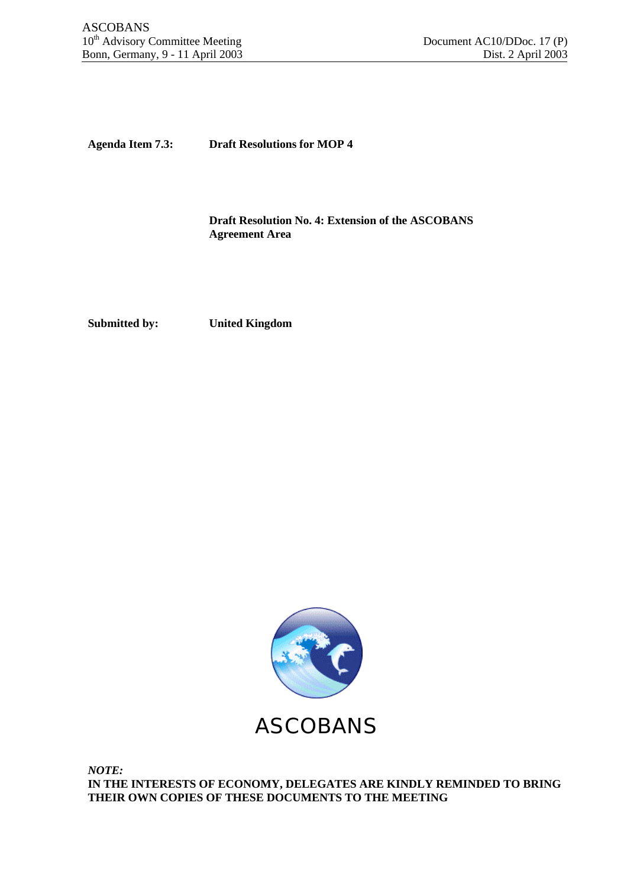**Agenda Item 7.3: Draft Resolutions for MOP 4**

**Draft Resolution No. 4: Extension of the ASCOBANS Agreement Area**

**Submitted by: United Kingdom**



*NOTE:* **IN THE INTERESTS OF ECONOMY, DELEGATES ARE KINDLY REMINDED TO BRING THEIR OWN COPIES OF THESE DOCUMENTS TO THE MEETING**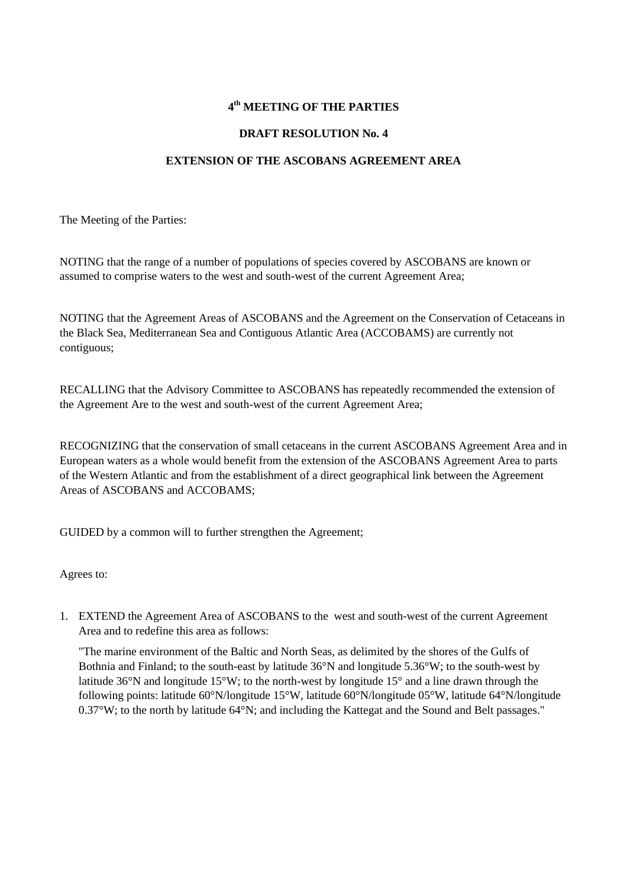## **4 th MEETING OF THE PARTIES**

## **DRAFT RESOLUTION No. 4**

## **EXTENSION OF THE ASCOBANS AGREEMENT AREA**

The Meeting of the Parties:

NOTING that the range of a number of populations of species covered by ASCOBANS are known or assumed to comprise waters to the west and south-west of the current Agreement Area;

NOTING that the Agreement Areas of ASCOBANS and the Agreement on the Conservation of Cetaceans in the Black Sea, Mediterranean Sea and Contiguous Atlantic Area (ACCOBAMS) are currently not contiguous;

RECALLING that the Advisory Committee to ASCOBANS has repeatedly recommended the extension of the Agreement Are to the west and south-west of the current Agreement Area;

RECOGNIZING that the conservation of small cetaceans in the current ASCOBANS Agreement Area and in European waters as a whole would benefit from the extension of the ASCOBANS Agreement Area to parts of the Western Atlantic and from the establishment of a direct geographical link between the Agreement Areas of ASCOBANS and ACCOBAMS;

GUIDED by a common will to further strengthen the Agreement;

Agrees to:

1. EXTEND the Agreement Area of ASCOBANS to the west and south-west of the current Agreement Area and to redefine this area as follows:

"The marine environment of the Baltic and North Seas, as delimited by the shores of the Gulfs of Bothnia and Finland; to the south-east by latitude 36°N and longitude 5.36°W; to the south-west by latitude 36°N and longitude 15°W; to the north-west by longitude 15° and a line drawn through the following points: latitude 60°N/longitude 15°W, latitude 60°N/longitude 05°W, latitude 64°N/longitude 0.37°W; to the north by latitude 64°N; and including the Kattegat and the Sound and Belt passages."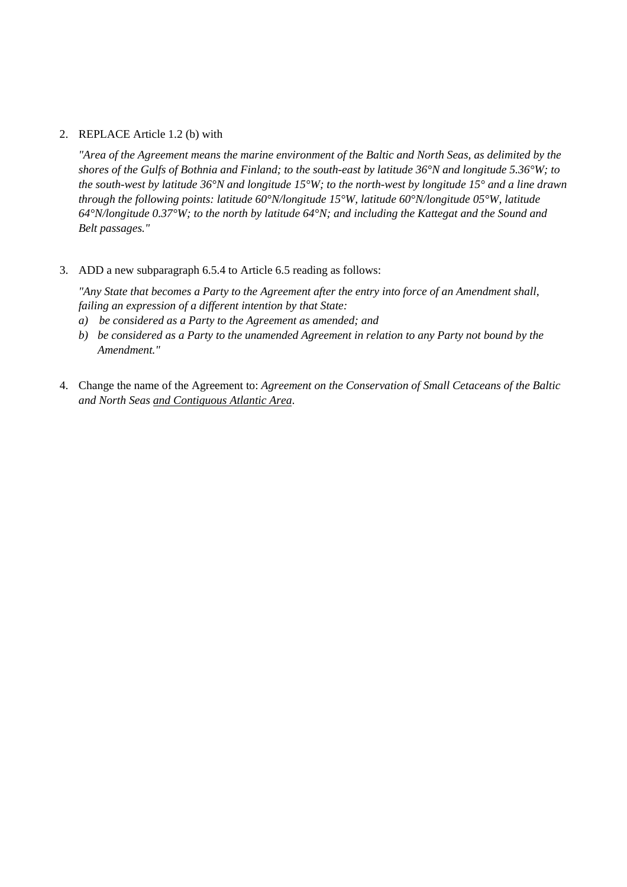### 2. REPLACE Article 1.2 (b) with

*"Area of the Agreement means the marine environment of the Baltic and North Seas, as delimited by the shores of the Gulfs of Bothnia and Finland; to the south-east by latitude 36°N and longitude 5.36°W; to the south-west by latitude 36°N and longitude 15°W; to the north-west by longitude 15° and a line drawn through the following points: latitude 60°N/longitude 15°W, latitude 60°N/longitude 05°W, latitude 64°N/longitude 0.37°W; to the north by latitude 64°N; and including the Kattegat and the Sound and Belt passages."*

### 3. ADD a new subparagraph 6.5.4 to Article 6.5 reading as follows:

*"Any State that becomes a Party to the Agreement after the entry into force of an Amendment shall, failing an expression of a different intention by that State:*

- *a) be considered as a Party to the Agreement as amended; and*
- *b) be considered as a Party to the unamended Agreement in relation to any Party not bound by the Amendment."*
- 4. Change the name of the Agreement to: *Agreement on the Conservation of Small Cetaceans of the Baltic and North Seas and Contiguous Atlantic Area*.